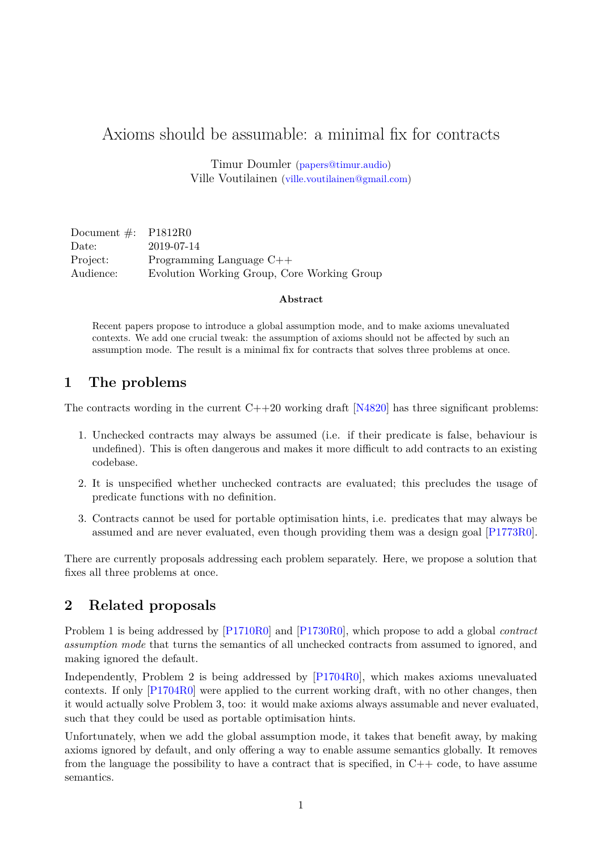# Axioms should be assumable: a minimal fix for contracts

Timur Doumler [\(papers@timur.audio\)](mailto:papers@timur.audio) Ville Voutilainen [\(ville.voutilainen@gmail.com\)](mailto:ville.voutilainen@gmail.com)

| Document $\#$ : P1812R0 |                                             |
|-------------------------|---------------------------------------------|
| Date:                   | 2019-07-14                                  |
| Project:                | Programming Language $C++$                  |
| Audience:               | Evolution Working Group, Core Working Group |

#### **Abstract**

Recent papers propose to introduce a global assumption mode, and to make axioms unevaluated contexts. We add one crucial tweak: the assumption of axioms should not be affected by such an assumption mode. The result is a minimal fix for contracts that solves three problems at once.

#### **1 The problems**

The contracts wording in the current  $C++20$  working draft  $[N4820]$  has three significant problems:

- 1. Unchecked contracts may always be assumed (i.e. if their predicate is false, behaviour is undefined). This is often dangerous and makes it more difficult to add contracts to an existing codebase.
- 2. It is unspecified whether unchecked contracts are evaluated; this precludes the usage of predicate functions with no definition.
- 3. Contracts cannot be used for portable optimisation hints, i.e. predicates that may always be assumed and are never evaluated, even though providing them was a design goal [\[P1773R0\]](#page-2-1).

There are currently proposals addressing each problem separately. Here, we propose a solution that fixes all three problems at once.

#### **2 Related proposals**

Problem 1 is being addressed by [\[P1710R0\]](#page-2-2) and [\[P1730R0\]](#page-2-3), which propose to add a global *contract assumption mode* that turns the semantics of all unchecked contracts from assumed to ignored, and making ignored the default.

Independently, Problem 2 is being addressed by [\[P1704R0\]](#page-2-4), which makes axioms unevaluated contexts. If only [\[P1704R0\]](#page-2-4) were applied to the current working draft, with no other changes, then it would actually solve Problem 3, too: it would make axioms always assumable and never evaluated, such that they could be used as portable optimisation hints.

Unfortunately, when we add the global assumption mode, it takes that benefit away, by making axioms ignored by default, and only offering a way to enable assume semantics globally. It removes from the language the possibility to have a contract that is specified, in  $C++$  code, to have assume semantics.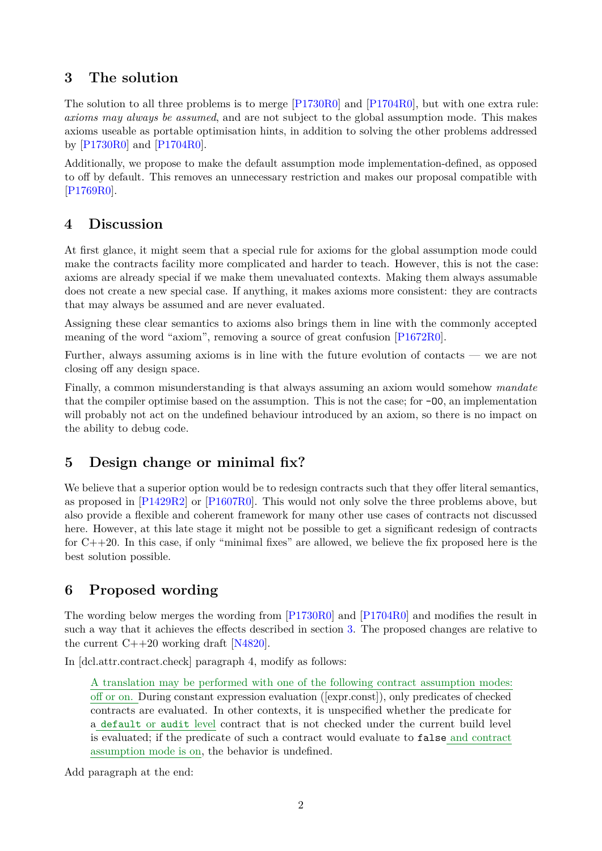## <span id="page-1-0"></span>**3 The solution**

The solution to all three problems is to merge [\[P1730R0\]](#page-2-3) and [\[P1704R0\]](#page-2-4), but with one extra rule: *axioms may always be assumed*, and are not subject to the global assumption mode. This makes axioms useable as portable optimisation hints, in addition to solving the other problems addressed by [\[P1730R0\]](#page-2-3) and [\[P1704R0\]](#page-2-4).

Additionally, we propose to make the default assumption mode implementation-defined, as opposed to off by default. This removes an unnecessary restriction and makes our proposal compatible with [\[P1769R0\]](#page-2-5).

### **4 Discussion**

At first glance, it might seem that a special rule for axioms for the global assumption mode could make the contracts facility more complicated and harder to teach. However, this is not the case: axioms are already special if we make them unevaluated contexts. Making them always assumable does not create a new special case. If anything, it makes axioms more consistent: they are contracts that may always be assumed and are never evaluated.

Assigning these clear semantics to axioms also brings them in line with the commonly accepted meaning of the word "axiom", removing a source of great confusion [\[P1672R0\]](#page-2-6).

Further, always assuming axioms is in line with the future evolution of contacts — we are not closing off any design space.

Finally, a common misunderstanding is that always assuming an axiom would somehow *mandate* that the compiler optimise based on the assumption. This is not the case; for -O0, an implementation will probably not act on the undefined behaviour introduced by an axiom, so there is no impact on the ability to debug code.

# **5 Design change or minimal fix?**

We believe that a superior option would be to redesign contracts such that they offer literal semantics, as proposed in [\[P1429R2\]](#page-2-7) or [\[P1607R0\]](#page-2-8). This would not only solve the three problems above, but also provide a flexible and coherent framework for many other use cases of contracts not discussed here. However, at this late stage it might not be possible to get a significant redesign of contracts for  $C++20$ . In this case, if only "minimal fixes" are allowed, we believe the fix proposed here is the best solution possible.

# **6 Proposed wording**

The wording below merges the wording from [\[P1730R0\]](#page-2-3) and [\[P1704R0\]](#page-2-4) and modifies the result in such a way that it achieves the effects described in section [3.](#page-1-0) The proposed changes are relative to the current  $C++20$  working draft [\[N4820\]](#page-2-0).

In [dcl.attr.contract.check] paragraph 4, modify as follows:

A translation may be performed with one of the following contract assumption modes: off or on. During constant expression evaluation ([expr.const]), only predicates of checked contracts are evaluated. In other contexts, it is unspecified whether the predicate for a default or audit level contract that is not checked under the current build level is evaluated; if the predicate of such a contract would evaluate to false and contract assumption mode is on, the behavior is undefined.

Add paragraph at the end: